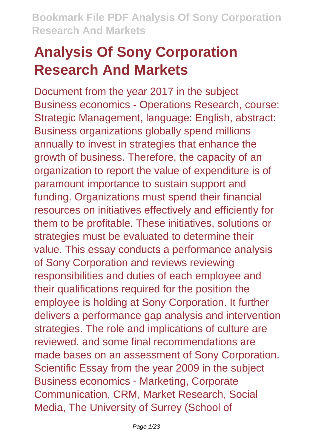# **Analysis Of Sony Corporation Research And Markets**

Document from the year 2017 in the subject Business economics - Operations Research, course: Strategic Management, language: English, abstract: Business organizations globally spend millions annually to invest in strategies that enhance the growth of business. Therefore, the capacity of an organization to report the value of expenditure is of paramount importance to sustain support and funding. Organizations must spend their financial resources on initiatives effectively and efficiently for them to be profitable. These initiatives, solutions or strategies must be evaluated to determine their value. This essay conducts a performance analysis of Sony Corporation and reviews reviewing responsibilities and duties of each employee and their qualifications required for the position the employee is holding at Sony Corporation. It further delivers a performance gap analysis and intervention strategies. The role and implications of culture are reviewed. and some final recommendations are made bases on an assessment of Sony Corporation. Scientific Essay from the year 2009 in the subject Business economics - Marketing, Corporate Communication, CRM, Market Research, Social Media, The University of Surrey (School of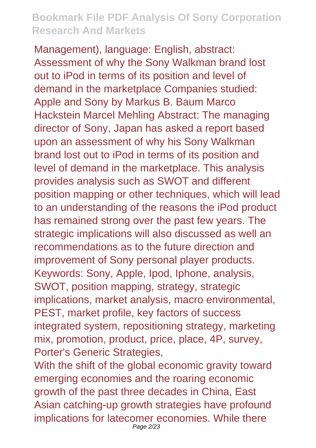Management), language: English, abstract: Assessment of why the Sony Walkman brand lost out to iPod in terms of its position and level of demand in the marketplace Companies studied: Apple and Sony by Markus B. Baum Marco Hackstein Marcel Mehling Abstract: The managing director of Sony, Japan has asked a report based upon an assessment of why his Sony Walkman brand lost out to iPod in terms of its position and level of demand in the marketplace. This analysis provides analysis such as SWOT and different position mapping or other techniques, which will lead to an understanding of the reasons the iPod product has remained strong over the past few years. The strategic implications will also discussed as well an recommendations as to the future direction and improvement of Sony personal player products. Keywords: Sony, Apple, Ipod, Iphone, analysis, SWOT, position mapping, strategy, strategic implications, market analysis, macro environmental, PEST, market profile, key factors of success integrated system, repositioning strategy, marketing mix, promotion, product, price, place, 4P, survey, Porter's Generic Strategies,

With the shift of the global economic gravity toward emerging economies and the roaring economic growth of the past three decades in China, East Asian catching-up growth strategies have profound implications for latecomer economies. While there Page 2/23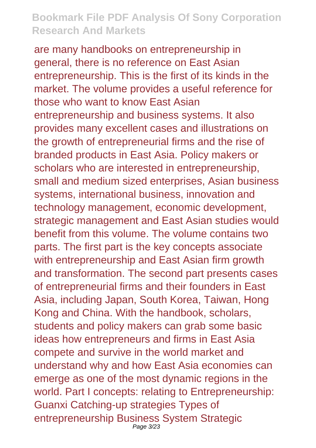are many handbooks on entrepreneurship in general, there is no reference on East Asian entrepreneurship. This is the first of its kinds in the market. The volume provides a useful reference for those who want to know East Asian entrepreneurship and business systems. It also provides many excellent cases and illustrations on the growth of entrepreneurial firms and the rise of branded products in East Asia. Policy makers or scholars who are interested in entrepreneurship, small and medium sized enterprises, Asian business systems, international business, innovation and technology management, economic development, strategic management and East Asian studies would benefit from this volume. The volume contains two parts. The first part is the key concepts associate with entrepreneurship and East Asian firm growth and transformation. The second part presents cases of entrepreneurial firms and their founders in East Asia, including Japan, South Korea, Taiwan, Hong Kong and China. With the handbook, scholars, students and policy makers can grab some basic ideas how entrepreneurs and firms in East Asia compete and survive in the world market and understand why and how East Asia economies can emerge as one of the most dynamic regions in the world. Part I concepts: relating to Entrepreneurship: Guanxi Catching-up strategies Types of entrepreneurship Business System Strategic Page 3/23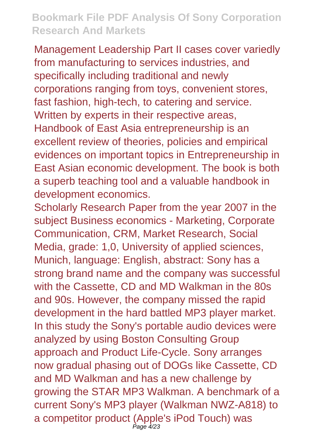Management Leadership Part II cases cover variedly from manufacturing to services industries, and specifically including traditional and newly corporations ranging from toys, convenient stores, fast fashion, high-tech, to catering and service. Written by experts in their respective areas, Handbook of East Asia entrepreneurship is an excellent review of theories, policies and empirical evidences on important topics in Entrepreneurship in East Asian economic development. The book is both a superb teaching tool and a valuable handbook in development economics.

Scholarly Research Paper from the year 2007 in the subject Business economics - Marketing, Corporate Communication, CRM, Market Research, Social Media, grade: 1,0, University of applied sciences, Munich, language: English, abstract: Sony has a strong brand name and the company was successful with the Cassette, CD and MD Walkman in the 80s and 90s. However, the company missed the rapid development in the hard battled MP3 player market. In this study the Sony's portable audio devices were analyzed by using Boston Consulting Group approach and Product Life-Cycle. Sony arranges now gradual phasing out of DOGs like Cassette, CD and MD Walkman and has a new challenge by growing the STAR MP3 Walkman. A benchmark of a current Sony's MP3 player (Walkman NWZ-A818) to a competitor product (Apple's iPod Touch) was  $P$ age  $4/23$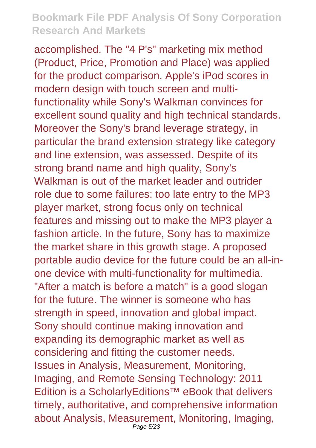accomplished. The "4 P's" marketing mix method (Product, Price, Promotion and Place) was applied for the product comparison. Apple's iPod scores in modern design with touch screen and multifunctionality while Sony's Walkman convinces for excellent sound quality and high technical standards. Moreover the Sony's brand leverage strategy, in particular the brand extension strategy like category and line extension, was assessed. Despite of its strong brand name and high quality, Sony's Walkman is out of the market leader and outrider role due to some failures: too late entry to the MP3 player market, strong focus only on technical features and missing out to make the MP3 player a fashion article. In the future, Sony has to maximize the market share in this growth stage. A proposed portable audio device for the future could be an all-inone device with multi-functionality for multimedia. "After a match is before a match" is a good slogan for the future. The winner is someone who has strength in speed, innovation and global impact. Sony should continue making innovation and expanding its demographic market as well as considering and fitting the customer needs. Issues in Analysis, Measurement, Monitoring, Imaging, and Remote Sensing Technology: 2011 Edition is a ScholarlyEditions™ eBook that delivers timely, authoritative, and comprehensive information about Analysis, Measurement, Monitoring, Imaging, Page 5/23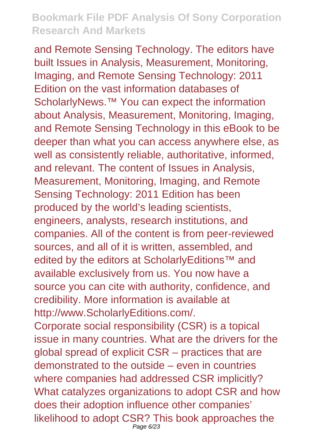and Remote Sensing Technology. The editors have built Issues in Analysis, Measurement, Monitoring, Imaging, and Remote Sensing Technology: 2011 Edition on the vast information databases of ScholarlyNews.<sup>™</sup> You can expect the information about Analysis, Measurement, Monitoring, Imaging, and Remote Sensing Technology in this eBook to be deeper than what you can access anywhere else, as well as consistently reliable, authoritative, informed, and relevant. The content of Issues in Analysis, Measurement, Monitoring, Imaging, and Remote Sensing Technology: 2011 Edition has been produced by the world's leading scientists, engineers, analysts, research institutions, and companies. All of the content is from peer-reviewed sources, and all of it is written, assembled, and edited by the editors at ScholarlvEditions™ and available exclusively from us. You now have a source you can cite with authority, confidence, and credibility. More information is available at http://www.ScholarlyEditions.com/. Corporate social responsibility (CSR) is a topical issue in many countries. What are the drivers for the global spread of explicit CSR – practices that are demonstrated to the outside – even in countries where companies had addressed CSR implicitly? What catalyzes organizations to adopt CSR and how does their adoption influence other companies' likelihood to adopt CSR? This book approaches the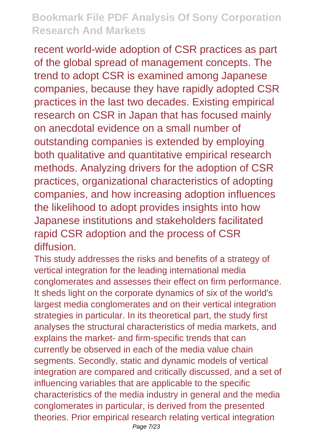recent world-wide adoption of CSR practices as part of the global spread of management concepts. The trend to adopt CSR is examined among Japanese companies, because they have rapidly adopted CSR practices in the last two decades. Existing empirical research on CSR in Japan that has focused mainly on anecdotal evidence on a small number of outstanding companies is extended by employing both qualitative and quantitative empirical research methods. Analyzing drivers for the adoption of CSR practices, organizational characteristics of adopting companies, and how increasing adoption influences the likelihood to adopt provides insights into how Japanese institutions and stakeholders facilitated rapid CSR adoption and the process of CSR diffusion.

This study addresses the risks and benefits of a strategy of vertical integration for the leading international media conglomerates and assesses their effect on firm performance. It sheds light on the corporate dynamics of six of the world's largest media conglomerates and on their vertical integration strategies in particular. In its theoretical part, the study first analyses the structural characteristics of media markets, and explains the market- and firm-specific trends that can currently be observed in each of the media value chain segments. Secondly, static and dynamic models of vertical integration are compared and critically discussed, and a set of influencing variables that are applicable to the specific characteristics of the media industry in general and the media conglomerates in particular, is derived from the presented theories. Prior empirical research relating vertical integration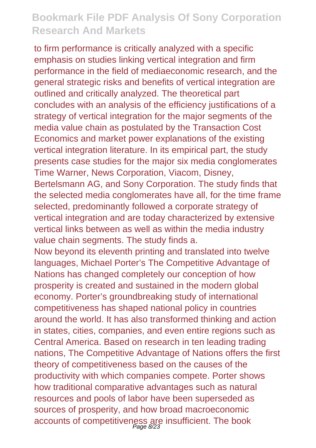to firm performance is critically analyzed with a specific emphasis on studies linking vertical integration and firm performance in the field of mediaeconomic research, and the general strategic risks and benefits of vertical integration are outlined and critically analyzed. The theoretical part concludes with an analysis of the efficiency justifications of a strategy of vertical integration for the major segments of the media value chain as postulated by the Transaction Cost Economics and market power explanations of the existing vertical integration literature. In its empirical part, the study presents case studies for the major six media conglomerates Time Warner, News Corporation, Viacom, Disney, Bertelsmann AG, and Sony Corporation. The study finds that the selected media conglomerates have all, for the time frame selected, predominantly followed a corporate strategy of vertical integration and are today characterized by extensive vertical links between as well as within the media industry value chain segments. The study finds a.

Now beyond its eleventh printing and translated into twelve languages, Michael Porter's The Competitive Advantage of Nations has changed completely our conception of how prosperity is created and sustained in the modern global economy. Porter's groundbreaking study of international competitiveness has shaped national policy in countries around the world. It has also transformed thinking and action in states, cities, companies, and even entire regions such as Central America. Based on research in ten leading trading nations, The Competitive Advantage of Nations offers the first theory of competitiveness based on the causes of the productivity with which companies compete. Porter shows how traditional comparative advantages such as natural resources and pools of labor have been superseded as sources of prosperity, and how broad macroeconomic accounts of competitiveness are insufficient. The book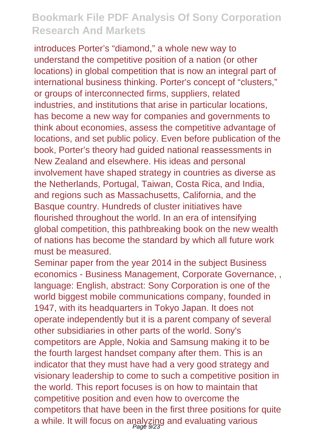introduces Porter's "diamond," a whole new way to understand the competitive position of a nation (or other locations) in global competition that is now an integral part of international business thinking. Porter's concept of "clusters," or groups of interconnected firms, suppliers, related industries, and institutions that arise in particular locations, has become a new way for companies and governments to think about economies, assess the competitive advantage of locations, and set public policy. Even before publication of the book, Porter's theory had guided national reassessments in New Zealand and elsewhere. His ideas and personal involvement have shaped strategy in countries as diverse as the Netherlands, Portugal, Taiwan, Costa Rica, and India, and regions such as Massachusetts, California, and the Basque country. Hundreds of cluster initiatives have flourished throughout the world. In an era of intensifying global competition, this pathbreaking book on the new wealth of nations has become the standard by which all future work must be measured.

Seminar paper from the year 2014 in the subject Business economics - Business Management, Corporate Governance, , language: English, abstract: Sony Corporation is one of the world biggest mobile communications company, founded in 1947, with its headquarters in Tokyo Japan. It does not operate independently but it is a parent company of several other subsidiaries in other parts of the world. Sony's competitors are Apple, Nokia and Samsung making it to be the fourth largest handset company after them. This is an indicator that they must have had a very good strategy and visionary leadership to come to such a competitive position in the world. This report focuses is on how to maintain that competitive position and even how to overcome the competitors that have been in the first three positions for quite a while. It will focus on analyzing and evaluating various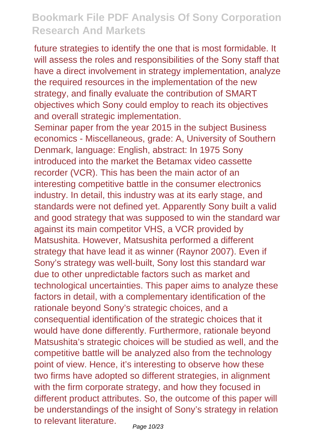future strategies to identify the one that is most formidable. It will assess the roles and responsibilities of the Sony staff that have a direct involvement in strategy implementation, analyze the required resources in the implementation of the new strategy, and finally evaluate the contribution of SMART objectives which Sony could employ to reach its objectives and overall strategic implementation.

Seminar paper from the year 2015 in the subject Business economics - Miscellaneous, grade: A, University of Southern Denmark, language: English, abstract: In 1975 Sony introduced into the market the Betamax video cassette recorder (VCR). This has been the main actor of an interesting competitive battle in the consumer electronics industry. In detail, this industry was at its early stage, and standards were not defined yet. Apparently Sony built a valid and good strategy that was supposed to win the standard war against its main competitor VHS, a VCR provided by Matsushita. However, Matsushita performed a different strategy that have lead it as winner (Raynor 2007). Even if Sony's strategy was well-built, Sony lost this standard war due to other unpredictable factors such as market and technological uncertainties. This paper aims to analyze these factors in detail, with a complementary identification of the rationale beyond Sony's strategic choices, and a consequential identification of the strategic choices that it would have done differently. Furthermore, rationale beyond Matsushita's strategic choices will be studied as well, and the competitive battle will be analyzed also from the technology point of view. Hence, it's interesting to observe how these two firms have adopted so different strategies, in alignment with the firm corporate strategy, and how they focused in different product attributes. So, the outcome of this paper will be understandings of the insight of Sony's strategy in relation to relevant literature. Page 10/23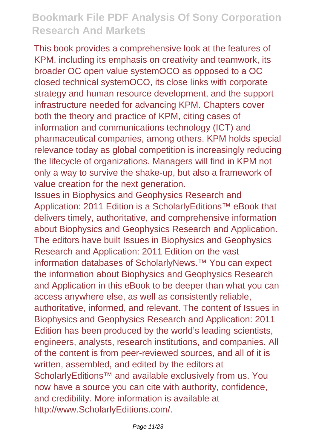This book provides a comprehensive look at the features of KPM, including its emphasis on creativity and teamwork, its broader OC open value systemOCO as opposed to a OC closed technical systemOCO, its close links with corporate strategy and human resource development, and the support infrastructure needed for advancing KPM. Chapters cover both the theory and practice of KPM, citing cases of information and communications technology (ICT) and pharmaceutical companies, among others. KPM holds special relevance today as global competition is increasingly reducing the lifecycle of organizations. Managers will find in KPM not only a way to survive the shake-up, but also a framework of value creation for the next generation.

Issues in Biophysics and Geophysics Research and Application: 2011 Edition is a ScholarlyEditions™ eBook that delivers timely, authoritative, and comprehensive information about Biophysics and Geophysics Research and Application. The editors have built Issues in Biophysics and Geophysics Research and Application: 2011 Edition on the vast information databases of ScholarlyNews.™ You can expect the information about Biophysics and Geophysics Research and Application in this eBook to be deeper than what you can access anywhere else, as well as consistently reliable, authoritative, informed, and relevant. The content of Issues in Biophysics and Geophysics Research and Application: 2011 Edition has been produced by the world's leading scientists, engineers, analysts, research institutions, and companies. All of the content is from peer-reviewed sources, and all of it is written, assembled, and edited by the editors at ScholarlyEditions™ and available exclusively from us. You now have a source you can cite with authority, confidence, and credibility. More information is available at http://www.ScholarlyEditions.com/.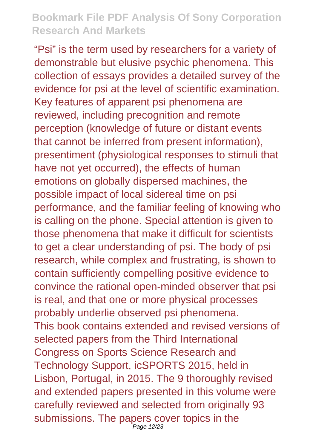"Psi" is the term used by researchers for a variety of demonstrable but elusive psychic phenomena. This collection of essays provides a detailed survey of the evidence for psi at the level of scientific examination. Key features of apparent psi phenomena are reviewed, including precognition and remote perception (knowledge of future or distant events that cannot be inferred from present information), presentiment (physiological responses to stimuli that have not yet occurred), the effects of human emotions on globally dispersed machines, the possible impact of local sidereal time on psi performance, and the familiar feeling of knowing who is calling on the phone. Special attention is given to those phenomena that make it difficult for scientists to get a clear understanding of psi. The body of psi research, while complex and frustrating, is shown to contain sufficiently compelling positive evidence to convince the rational open-minded observer that psi is real, and that one or more physical processes probably underlie observed psi phenomena. This book contains extended and revised versions of selected papers from the Third International Congress on Sports Science Research and Technology Support, icSPORTS 2015, held in Lisbon, Portugal, in 2015. The 9 thoroughly revised and extended papers presented in this volume were carefully reviewed and selected from originally 93 submissions. The papers cover topics in the Page 12/23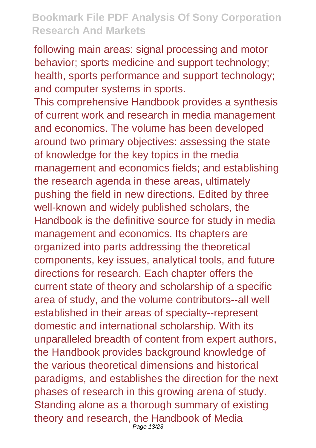following main areas: signal processing and motor behavior; sports medicine and support technology; health, sports performance and support technology; and computer systems in sports.

This comprehensive Handbook provides a synthesis of current work and research in media management and economics. The volume has been developed around two primary objectives: assessing the state of knowledge for the key topics in the media management and economics fields; and establishing the research agenda in these areas, ultimately pushing the field in new directions. Edited by three well-known and widely published scholars, the Handbook is the definitive source for study in media management and economics. Its chapters are organized into parts addressing the theoretical components, key issues, analytical tools, and future directions for research. Each chapter offers the current state of theory and scholarship of a specific area of study, and the volume contributors--all well established in their areas of specialty--represent domestic and international scholarship. With its unparalleled breadth of content from expert authors, the Handbook provides background knowledge of the various theoretical dimensions and historical paradigms, and establishes the direction for the next phases of research in this growing arena of study. Standing alone as a thorough summary of existing theory and research, the Handbook of Media Page 13/23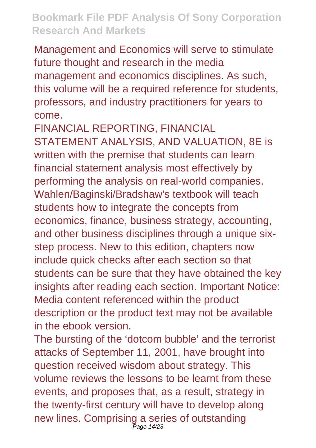Management and Economics will serve to stimulate future thought and research in the media management and economics disciplines. As such, this volume will be a required reference for students, professors, and industry practitioners for years to come.

FINANCIAL REPORTING, FINANCIAL STATEMENT ANALYSIS, AND VALUATION, 8E is written with the premise that students can learn financial statement analysis most effectively by performing the analysis on real-world companies. Wahlen/Baginski/Bradshaw's textbook will teach students how to integrate the concepts from economics, finance, business strategy, accounting, and other business disciplines through a unique sixstep process. New to this edition, chapters now include quick checks after each section so that students can be sure that they have obtained the key insights after reading each section. Important Notice: Media content referenced within the product description or the product text may not be available in the ebook version.

The bursting of the 'dotcom bubble' and the terrorist attacks of September 11, 2001, have brought into question received wisdom about strategy. This volume reviews the lessons to be learnt from these events, and proposes that, as a result, strategy in the twenty-first century will have to develop along new lines. Comprising a series of outstanding Page 14/23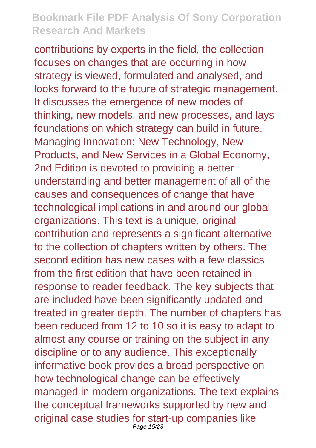contributions by experts in the field, the collection focuses on changes that are occurring in how strategy is viewed, formulated and analysed, and looks forward to the future of strategic management. It discusses the emergence of new modes of thinking, new models, and new processes, and lays foundations on which strategy can build in future. Managing Innovation: New Technology, New Products, and New Services in a Global Economy, 2nd Edition is devoted to providing a better understanding and better management of all of the causes and consequences of change that have technological implications in and around our global organizations. This text is a unique, original contribution and represents a significant alternative to the collection of chapters written by others. The second edition has new cases with a few classics from the first edition that have been retained in response to reader feedback. The key subjects that are included have been significantly updated and treated in greater depth. The number of chapters has been reduced from 12 to 10 so it is easy to adapt to almost any course or training on the subject in any discipline or to any audience. This exceptionally informative book provides a broad perspective on how technological change can be effectively managed in modern organizations. The text explains the conceptual frameworks supported by new and original case studies for start-up companies like Page 15/23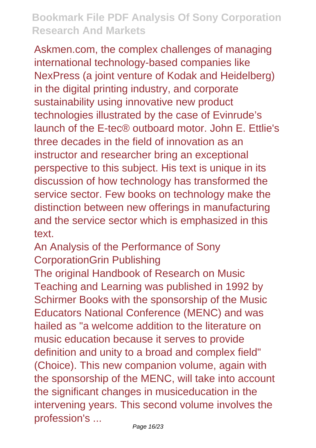Askmen.com, the complex challenges of managing international technology-based companies like NexPress (a joint venture of Kodak and Heidelberg) in the digital printing industry, and corporate sustainability using innovative new product technologies illustrated by the case of Evinrude's launch of the E-tec® outboard motor. John E. Ettlie's three decades in the field of innovation as an instructor and researcher bring an exceptional perspective to this subject. His text is unique in its discussion of how technology has transformed the service sector. Few books on technology make the distinction between new offerings in manufacturing and the service sector which is emphasized in this text.

An Analysis of the Performance of Sony CorporationGrin Publishing

The original Handbook of Research on Music Teaching and Learning was published in 1992 by Schirmer Books with the sponsorship of the Music Educators National Conference (MENC) and was hailed as "a welcome addition to the literature on music education because it serves to provide definition and unity to a broad and complex field" (Choice). This new companion volume, again with the sponsorship of the MENC, will take into account the significant changes in musiceducation in the intervening years. This second volume involves the profession's ...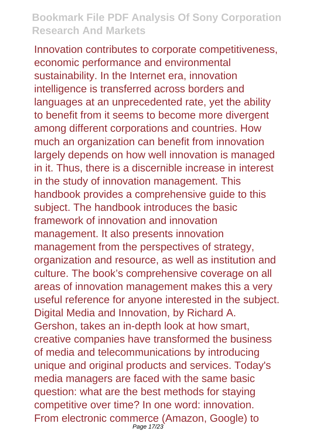Innovation contributes to corporate competitiveness, economic performance and environmental sustainability. In the Internet era, innovation intelligence is transferred across borders and languages at an unprecedented rate, yet the ability to benefit from it seems to become more divergent among different corporations and countries. How much an organization can benefit from innovation largely depends on how well innovation is managed in it. Thus, there is a discernible increase in interest in the study of innovation management. This handbook provides a comprehensive guide to this subject. The handbook introduces the basic framework of innovation and innovation management. It also presents innovation management from the perspectives of strategy, organization and resource, as well as institution and culture. The book's comprehensive coverage on all areas of innovation management makes this a very useful reference for anyone interested in the subject. Digital Media and Innovation, by Richard A. Gershon, takes an in-depth look at how smart, creative companies have transformed the business of media and telecommunications by introducing unique and original products and services. Today's media managers are faced with the same basic question: what are the best methods for staying competitive over time? In one word: innovation. From electronic commerce (Amazon, Google) to Page 17/23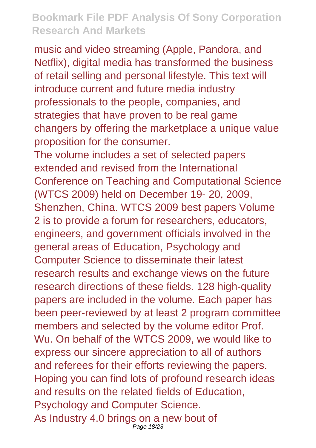music and video streaming (Apple, Pandora, and Netflix), digital media has transformed the business of retail selling and personal lifestyle. This text will introduce current and future media industry professionals to the people, companies, and strategies that have proven to be real game changers by offering the marketplace a unique value proposition for the consumer.

The volume includes a set of selected papers extended and revised from the International Conference on Teaching and Computational Science (WTCS 2009) held on December 19- 20, 2009, Shenzhen, China. WTCS 2009 best papers Volume 2 is to provide a forum for researchers, educators, engineers, and government officials involved in the general areas of Education, Psychology and Computer Science to disseminate their latest research results and exchange views on the future research directions of these fields. 128 high-quality papers are included in the volume. Each paper has been peer-reviewed by at least 2 program committee members and selected by the volume editor Prof. Wu. On behalf of the WTCS 2009, we would like to express our sincere appreciation to all of authors and referees for their efforts reviewing the papers. Hoping you can find lots of profound research ideas and results on the related fields of Education, Psychology and Computer Science. As Industry 4.0 brings on a new bout of Page 18/23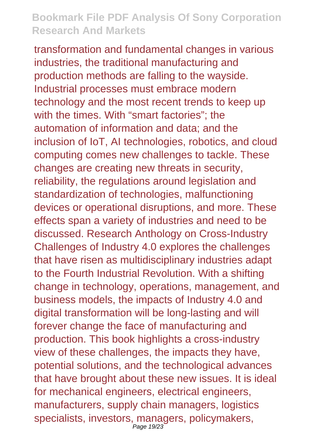transformation and fundamental changes in various industries, the traditional manufacturing and production methods are falling to the wayside. Industrial processes must embrace modern technology and the most recent trends to keep up with the times. With "smart factories"; the automation of information and data; and the inclusion of IoT, AI technologies, robotics, and cloud computing comes new challenges to tackle. These changes are creating new threats in security, reliability, the regulations around legislation and standardization of technologies, malfunctioning devices or operational disruptions, and more. These effects span a variety of industries and need to be discussed. Research Anthology on Cross-Industry Challenges of Industry 4.0 explores the challenges that have risen as multidisciplinary industries adapt to the Fourth Industrial Revolution. With a shifting change in technology, operations, management, and business models, the impacts of Industry 4.0 and digital transformation will be long-lasting and will forever change the face of manufacturing and production. This book highlights a cross-industry view of these challenges, the impacts they have, potential solutions, and the technological advances that have brought about these new issues. It is ideal for mechanical engineers, electrical engineers, manufacturers, supply chain managers, logistics specialists, investors, managers, policymakers, Page 19/23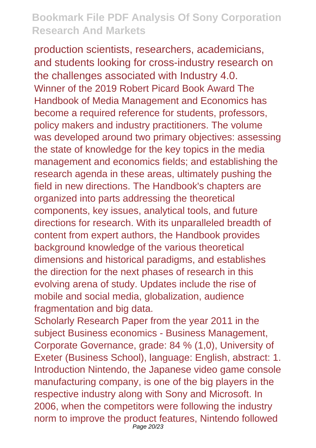production scientists, researchers, academicians, and students looking for cross-industry research on the challenges associated with Industry 4.0. Winner of the 2019 Robert Picard Book Award The Handbook of Media Management and Economics has become a required reference for students, professors, policy makers and industry practitioners. The volume was developed around two primary objectives: assessing the state of knowledge for the key topics in the media management and economics fields; and establishing the research agenda in these areas, ultimately pushing the field in new directions. The Handbook's chapters are organized into parts addressing the theoretical components, key issues, analytical tools, and future directions for research. With its unparalleled breadth of content from expert authors, the Handbook provides background knowledge of the various theoretical dimensions and historical paradigms, and establishes the direction for the next phases of research in this evolving arena of study. Updates include the rise of mobile and social media, globalization, audience fragmentation and big data.

Scholarly Research Paper from the year 2011 in the subject Business economics - Business Management, Corporate Governance, grade: 84 % (1,0), University of Exeter (Business School), language: English, abstract: 1. Introduction Nintendo, the Japanese video game console manufacturing company, is one of the big players in the respective industry along with Sony and Microsoft. In 2006, when the competitors were following the industry norm to improve the product features, Nintendo followed Page 20/23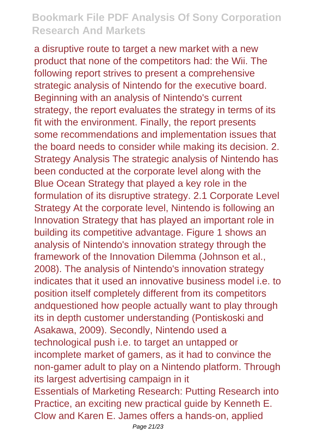a disruptive route to target a new market with a new product that none of the competitors had: the Wii. The following report strives to present a comprehensive strategic analysis of Nintendo for the executive board. Beginning with an analysis of Nintendo's current strategy, the report evaluates the strategy in terms of its fit with the environment. Finally, the report presents some recommendations and implementation issues that the board needs to consider while making its decision. 2. Strategy Analysis The strategic analysis of Nintendo has been conducted at the corporate level along with the Blue Ocean Strategy that played a key role in the formulation of its disruptive strategy. 2.1 Corporate Level Strategy At the corporate level, Nintendo is following an Innovation Strategy that has played an important role in building its competitive advantage. Figure 1 shows an analysis of Nintendo's innovation strategy through the framework of the Innovation Dilemma (Johnson et al., 2008). The analysis of Nintendo's innovation strategy indicates that it used an innovative business model i.e. to position itself completely different from its competitors andquestioned how people actually want to play through its in depth customer understanding (Pontiskoski and Asakawa, 2009). Secondly, Nintendo used a technological push i.e. to target an untapped or incomplete market of gamers, as it had to convince the non-gamer adult to play on a Nintendo platform. Through its largest advertising campaign in it Essentials of Marketing Research: Putting Research into Practice, an exciting new practical guide by Kenneth E. Clow and Karen E. James offers a hands-on, applied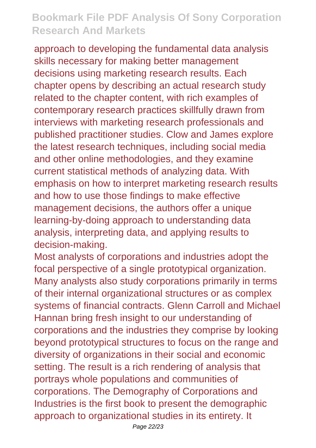approach to developing the fundamental data analysis skills necessary for making better management decisions using marketing research results. Each chapter opens by describing an actual research study related to the chapter content, with rich examples of contemporary research practices skillfully drawn from interviews with marketing research professionals and published practitioner studies. Clow and James explore the latest research techniques, including social media and other online methodologies, and they examine current statistical methods of analyzing data. With emphasis on how to interpret marketing research results and how to use those findings to make effective management decisions, the authors offer a unique learning-by-doing approach to understanding data analysis, interpreting data, and applying results to decision-making.

Most analysts of corporations and industries adopt the focal perspective of a single prototypical organization. Many analysts also study corporations primarily in terms of their internal organizational structures or as complex systems of financial contracts. Glenn Carroll and Michael Hannan bring fresh insight to our understanding of corporations and the industries they comprise by looking beyond prototypical structures to focus on the range and diversity of organizations in their social and economic setting. The result is a rich rendering of analysis that portrays whole populations and communities of corporations. The Demography of Corporations and Industries is the first book to present the demographic approach to organizational studies in its entirety. It